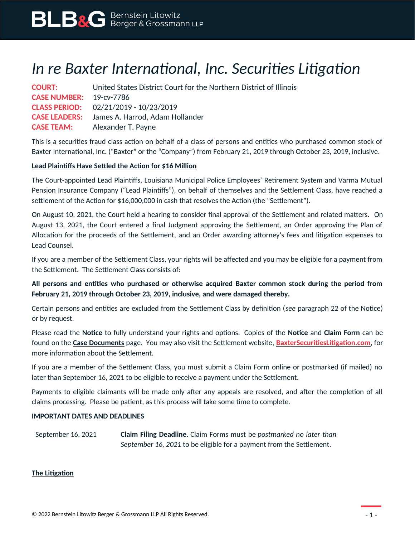# *In re Baxter International, Inc. Securities Litigation*

| <b>COURT:</b>                  | United States District Court for the Northern District of Illinois |
|--------------------------------|--------------------------------------------------------------------|
| <b>CASE NUMBER: 19-CV-7786</b> |                                                                    |
|                                | CLASS PERIOD: 02/21/2019 - 10/23/2019                              |
|                                | <b>CASE LEADERS:</b> James A. Harrod, Adam Hollander               |
| <b>CASE TEAM:</b>              | Alexander T. Payne                                                 |

This is a securities fraud class action on behalf of a class of persons and entities who purchased common stock of Baxter International, Inc. ("Baxter" or the "Company") from February 21, 2019 through October 23, 2019, inclusive.

## **Lead Plaintiffs Have Settled the Action for \$16 Million**

The Court-appointed Lead Plaintiffs, Louisiana Municipal Police Employees' Retirement System and Varma Mutual Pension Insurance Company ("Lead Plaintiffs"), on behalf of themselves and the Settlement Class, have reached a settlement of the Action for \$16,000,000 in cash that resolves the Action (the "Settlement").

On August 10, 2021, the Court held a hearing to consider final approval of the Settlement and related matters. On August 13, 2021, the Court entered a final Judgment approving the Settlement, an Order approving the Plan of Allocation for the proceeds of the Settlement, and an Order awarding attorney's fees and litigation expenses to Lead Counsel.

If you are a member of the Settlement Class, your rights will be affected and you may be eligible for a payment from the Settlement. The Settlement Class consists of:

**All persons and entities who purchased or otherwise acquired Baxter common stock during the period from February 21, 2019 through October 23, 2019, inclusive, and were damaged thereby.**

Certain persons and entities are excluded from the Settlement Class by definition (*see* paragraph 22 of the Notice) or by request.

Please read the **Notice** to fully understand your rights and options. Copies of the **Notice** and **Claim Form** can be found on the **Case Documents** page. You may also visit the Settlement website, **[BaxterSecuritiesLitigation.com](http://www.baxtersecuritieslitigation.com/)**, for more information about the Settlement.

If you are a member of the Settlement Class, you must submit a Claim Form online or postmarked (if mailed) no later than September 16, 2021 to be eligible to receive a payment under the Settlement.

Payments to eligible claimants will be made only after any appeals are resolved, and after the completion of all claims processing. Please be patient, as this process will take some time to complete.

### **IMPORTANT DATES AND DEADLINES**

September 16, 2021 **Claim Filing Deadline.** Claim Forms must be *postmarked no later than September 16, 2021* to be eligible for a payment from the Settlement.

#### **The Litigation**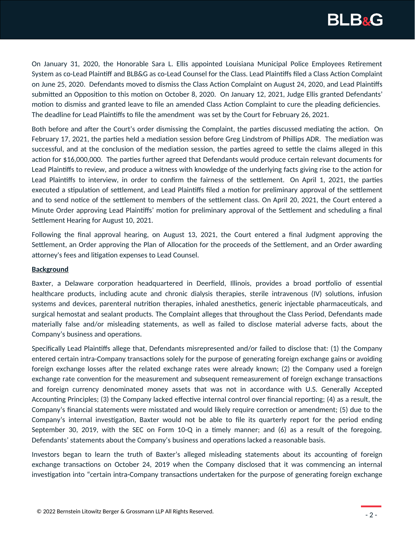

On January 31, 2020, the Honorable Sara L. Ellis appointed Louisiana Municipal Police Employees Retirement System as co-Lead Plaintiff and BLB&G as co-Lead Counsel for the Class. Lead Plaintiffs filed a Class Action Complaint on June 25, 2020. Defendants moved to dismiss the Class Action Complaint on August 24, 2020, and Lead Plaintiffs submitted an Opposition to this motion on October 8, 2020. On January 12, 2021, Judge Ellis granted Defendants' motion to dismiss and granted leave to file an amended Class Action Complaint to cure the pleading deficiencies. The deadline for Lead Plaintiffs to file the amendment was set by the Court for February 26, 2021.

Both before and after the Court's order dismissing the Complaint, the parties discussed mediating the action. On February 17, 2021, the parties held a mediation session before Greg Lindstrom of Phillips ADR. The mediation was successful, and at the conclusion of the mediation session, the parties agreed to settle the claims alleged in this action for \$16,000,000. The parties further agreed that Defendants would produce certain relevant documents for Lead Plaintiffs to review, and produce a witness with knowledge of the underlying facts giving rise to the action for Lead Plaintiffs to interview, in order to confirm the fairness of the settlement. On April 1, 2021, the parties executed a stipulation of settlement, and Lead Plaintiffs filed a motion for preliminary approval of the settlement and to send notice of the settlement to members of the settlement class. On April 20, 2021, the Court entered a Minute Order approving Lead Plaintiffs' motion for preliminary approval of the Settlement and scheduling a final Settlement Hearing for August 10, 2021.

Following the final approval hearing, on August 13, 2021, the Court entered a final Judgment approving the Settlement, an Order approving the Plan of Allocation for the proceeds of the Settlement, and an Order awarding attorney's fees and litigation expenses to Lead Counsel.

#### **Background**

Baxter, a Delaware corporation headquartered in Deerfield, Illinois, provides a broad portfolio of essential healthcare products, including acute and chronic dialysis therapies, sterile intravenous (IV) solutions, infusion systems and devices, parenteral nutrition therapies, inhaled anesthetics, generic injectable pharmaceuticals, and surgical hemostat and sealant products. The Complaint alleges that throughout the Class Period, Defendants made materially false and/or misleading statements, as well as failed to disclose material adverse facts, about the Company's business and operations.

Specifically Lead Plaintiffs allege that, Defendants misrepresented and/or failed to disclose that: (1) the Company entered certain intra-Company transactions solely for the purpose of generating foreign exchange gains or avoiding foreign exchange losses after the related exchange rates were already known; (2) the Company used a foreign exchange rate convention for the measurement and subsequent remeasurement of foreign exchange transactions and foreign currency denominated money assets that was not in accordance with U.S. Generally Accepted Accounting Principles; (3) the Company lacked effective internal control over financial reporting; (4) as a result, the Company's financial statements were misstated and would likely require correction or amendment; (5) due to the Company's internal investigation, Baxter would not be able to file its quarterly report for the period ending September 30, 2019, with the SEC on Form 10-Q in a timely manner; and (6) as a result of the foregoing, Defendants' statements about the Company's business and operations lacked a reasonable basis.

Investors began to learn the truth of Baxter's alleged misleading statements about its accounting of foreign exchange transactions on October 24, 2019 when the Company disclosed that it was commencing an internal investigation into "certain intra-Company transactions undertaken for the purpose of generating foreign exchange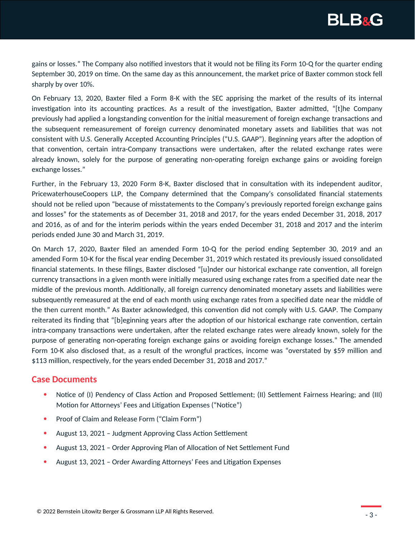

gains or losses." The Company also notified investors that it would not be filing its Form 10-Q for the quarter ending September 30, 2019 on time. On the same day as this announcement, the market price of Baxter common stock fell sharply by over 10%.

On February 13, 2020, Baxter filed a Form 8-K with the SEC apprising the market of the results of its internal investigation into its accounting practices. As a result of the investigation, Baxter admitted, "[t]he Company previously had applied a longstanding convention for the initial measurement of foreign exchange transactions and the subsequent remeasurement of foreign currency denominated monetary assets and liabilities that was not consistent with U.S. Generally Accepted Accounting Principles ("U.S. GAAP"). Beginning years after the adoption of that convention, certain intra-Company transactions were undertaken, after the related exchange rates were already known, solely for the purpose of generating non-operating foreign exchange gains or avoiding foreign exchange losses."

Further, in the February 13, 2020 Form 8-K, Baxter disclosed that in consultation with its independent auditor, PricewaterhouseCoopers LLP, the Company determined that the Company's consolidated financial statements should not be relied upon "because of misstatements to the Company's previously reported foreign exchange gains and losses" for the statements as of December 31, 2018 and 2017, for the years ended December 31, 2018, 2017 and 2016, as of and for the interim periods within the years ended December 31, 2018 and 2017 and the interim periods ended June 30 and March 31, 2019.

On March 17, 2020, Baxter filed an amended Form 10-Q for the period ending September 30, 2019 and an amended Form 10-K for the fiscal year ending December 31, 2019 which restated its previously issued consolidated financial statements. In these filings, Baxter disclosed "[u]nder our historical exchange rate convention, all foreign currency transactions in a given month were initially measured using exchange rates from a specified date near the middle of the previous month. Additionally, all foreign currency denominated monetary assets and liabilities were subsequently remeasured at the end of each month using exchange rates from a specified date near the middle of the then current month." As Baxter acknowledged, this convention did not comply with U.S. GAAP. The Company reiterated its finding that "[b]eginning years after the adoption of our historical exchange rate convention, certain intra-company transactions were undertaken, after the related exchange rates were already known, solely for the purpose of generating non-operating foreign exchange gains or avoiding foreign exchange losses." The amended Form 10-K also disclosed that, as a result of the wrongful practices, income was "overstated by \$59 million and \$113 million, respectively, for the years ended December 31, 2018 and 2017."

## **Case Documents**

- Notice of (I) Pendency of Class Action and Proposed Settlement; (II) Settlement Fairness Hearing; and (III) Motion for Attorneys' Fees and Litigation Expenses ("Notice")
- Proof of Claim and Release Form ("Claim Form")
- August 13, 2021 Judgment Approving Class Action Settlement
- August 13, 2021 Order Approving Plan of Allocation of Net Settlement Fund
- August 13, 2021 Order Awarding Attorneys' Fees and Litigation Expenses